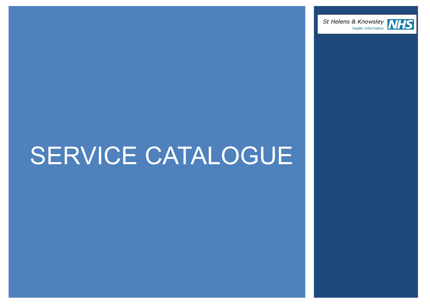



## SERVICE CATALOGUE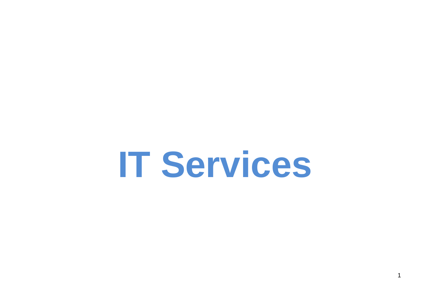# **IT Services**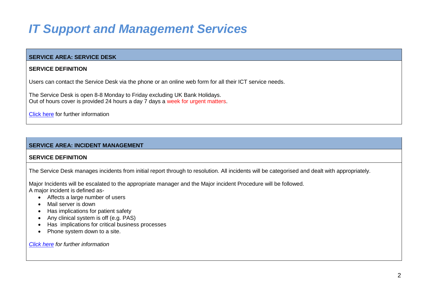### *IT Support and Management Services*

#### **SERVICE AREA: SERVICE DESK**

#### **SERVICE DEFINITION**

Users can contact the Service Desk via the phone or an online web form for all their ICT service needs.

The Service Desk is open 8-8 Monday to Friday excluding UK Bank Holidays. Out of hours cover is provided 24 hours a day 7 days a week for urgent matters.

[Click here](http://www.his.sthk.nhs.uk/Pages/IT-Support-and-Managed-Services.aspx) for further information

#### **SERVICE AREA: INCIDENT MANAGEMENT**

#### **SERVICE DEFINITION**

The Service Desk manages incidents from initial report through to resolution. All incidents will be categorised and dealt with appropriately.

Major Incidents will be escalated to the appropriate manager and the Major incident Procedure will be followed. A major incident is defined as-

- Affects a large number of users
- Mail server is down
- Has implications for patient safety
- Any clinical system is off (e.g. PAS)
- Has implications for critical business processes
- Phone system down to a site.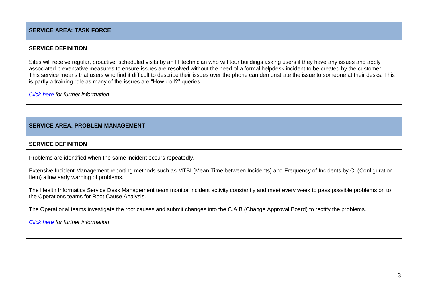#### **SERVICE AREA: TASK FORCE**

#### **SERVICE DEFINITION**

Sites will receive regular, proactive, scheduled visits by an IT technician who will tour buildings asking users if they have any issues and apply associated preventative measures to ensure issues are resolved without the need of a formal helpdesk incident to be created by the customer. This service means that users who find it difficult to describe their issues over the phone can demonstrate the issue to someone at their desks. This is partly a training role as many of the issues are "How do I?" queries.

*[Click here](http://www.his.sthk.nhs.uk/Pages/IT-Support-and-Managed-Services.aspx) for further information*

#### **SERVICE AREA: PROBLEM MANAGEMENT**

#### **SERVICE DEFINITION**

Problems are identified when the same incident occurs repeatedly.

Extensive Incident Management reporting methods such as MTBI (Mean Time between Incidents) and Frequency of Incidents by CI (Configuration Item) allow early warning of problems.

The Health Informatics Service Desk Management team monitor incident activity constantly and meet every week to pass possible problems on to the Operations teams for Root Cause Analysis.

The Operational teams investigate the root causes and submit changes into the C.A.B (Change Approval Board) to rectify the problems.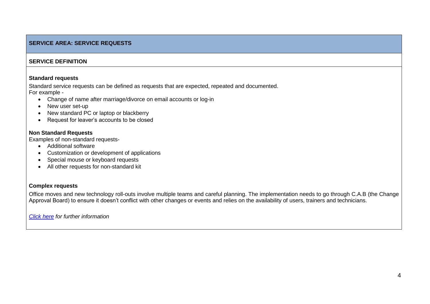#### **SERVICE AREA: SERVICE REQUESTS**

#### **SERVICE DEFINITION**

#### **Standard requests**

Standard service requests can be defined as requests that are expected, repeated and documented. For example -

- Change of name after marriage/divorce on email accounts or log-in
- New user set-up
- New standard PC or laptop or blackberry
- Request for leaver's accounts to be closed

#### **Non Standard Requests**

Examples of non-standard requests-

- Additional software
- Customization or development of applications
- Special mouse or keyboard requests
- All other requests for non-standard kit

#### **Complex requests**

Office moves and new technology roll-outs involve multiple teams and careful planning. The implementation needs to go through C.A.B (the Change Approval Board) to ensure it doesn't conflict with other changes or events and relies on the availability of users, trainers and technicians.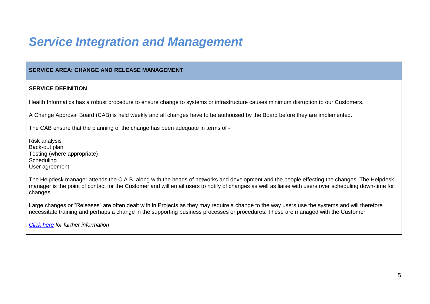### *Service Integration and Management*

#### **SERVICE AREA: CHANGE AND RELEASE MANAGEMENT**

#### **SERVICE DEFINITION**

Health Informatics has a robust procedure to ensure change to systems or infrastructure causes minimum disruption to our Customers.

A Change Approval Board (CAB) is held weekly and all changes have to be authorised by the Board before they are implemented.

The CAB ensure that the planning of the change has been adequate in terms of -

Risk analysis Back-out plan Testing (where appropriate) **Scheduling** User agreement

The Helpdesk manager attends the C.A.B. along with the heads of networks and development and the people effecting the changes. The Helpdesk manager is the point of contact for the Customer and will email users to notify of changes as well as liaise with users over scheduling down-time for changes.

Large changes or "Releases" are often dealt with in Projects as they may require a change to the way users use the systems and will therefore necessitate training and perhaps a change in the supporting business processes or procedures. These are managed with the Customer.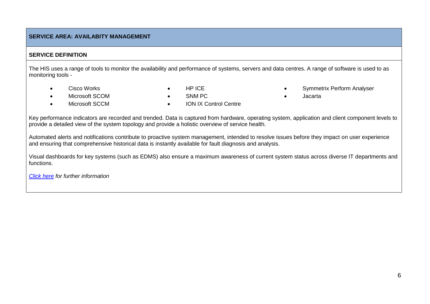#### **SERVICE AREA: AVAILABITY MANAGEMENT**

#### **SERVICE DEFINITION**

The HIS uses a range of tools to monitor the availability and performance of systems, servers and data centres. A range of software is used to as monitoring tools -

- 
- Microsoft SCCM ION IX Control Centre
- Cisco Works **Cisco Works 1988**
- Microsoft SCOM SNM PC Jacarta
- 

Key performance indicators are recorded and trended. Data is captured from hardware, operating system, application and client component levels to provide a detailed view of the system topology and provide a holistic overview of service health.

Automated alerts and notifications contribute to proactive system management, intended to resolve issues before they impact on user experience and ensuring that comprehensive historical data is instantly available for fault diagnosis and analysis.

Visual dashboards for key systems (such as EDMS) also ensure a maximum awareness of current system status across diverse IT departments and functions.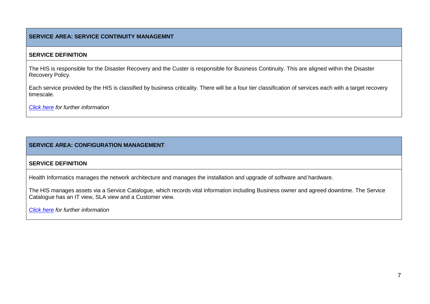#### **SERVICE AREA: SERVICE CONTINUITY MANAGEMNT**

#### **SERVICE DEFINITION**

The HIS is responsible for the Disaster Recovery and the Custer is responsible for Business Continuity. This are aligned within the Disaster Recovery Policy.

Each service provided by the HIS is classified by business criticality. There will be a four tier classification of services each with a target recovery timescale.

*[Click here](http://www.his.sthk.nhs.uk/Pages/Telephony-and-Unified-Communications.aspx) for further information*

#### **SERVICE AREA: CONFIGURATION MANAGEMENT**

#### **SERVICE DEFINITION**

Health Informatics manages the network architecture and manages the installation and upgrade of software and hardware.

The HIS manages assets via a Service Catalogue, which records vital information including Business owner and agreed downtime. The Service Catalogue has an IT view, SLA view and a Customer view.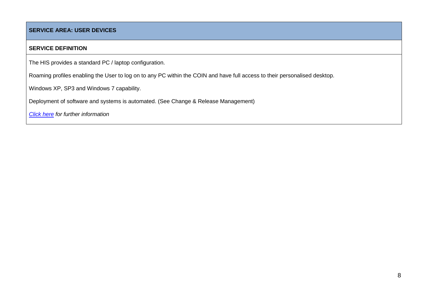#### **SERVICE AREA: USER DEVICES**

#### **SERVICE DEFINITION**

The HIS provides a standard PC / laptop configuration.

Roaming profiles enabling the User to log on to any PC within the COIN and have full access to their personalised desktop.

Windows XP, SP3 and Windows 7 capability.

Deployment of software and systems is automated. (See Change & Release Management)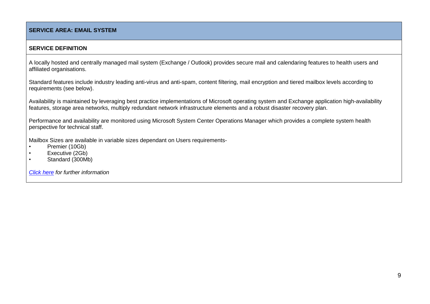#### **SERVICE AREA: EMAIL SYSTEM**

#### **SERVICE DEFINITION**

A locally hosted and centrally managed mail system (Exchange / Outlook) provides secure mail and calendaring features to health users and affiliated organisations.

Standard features include industry leading anti-virus and anti-spam, content filtering, mail encryption and tiered mailbox levels according to requirements (see below).

Availability is maintained by leveraging best practice implementations of Microsoft operating system and Exchange application high-availability features, storage area networks, multiply redundant network infrastructure elements and a robust disaster recovery plan.

Performance and availability are monitored using Microsoft System Center Operations Manager which provides a complete system health perspective for technical staff.

Mailbox Sizes are available in variable sizes dependant on Users requirements-

- Premier (10Gb)
- Executive (2Gb)
- Standard (300Mb)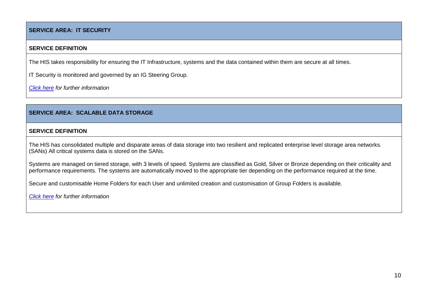#### **SERVICE AREA: IT SECURITY**

#### **SERVICE DEFINITION**

The HIS takes responsibility for ensuring the IT Infrastructure, systems and the data contained within them are secure at all times.

IT Security is monitored and governed by an IG Steering Group.

*[Click here](http://www.his.sthk.nhs.uk/Pages/Data-Centre-Services.aspx) for further information*

#### **SERVICE AREA: SCALABLE DATA STORAGE**

#### **SERVICE DEFINITION**

The HIS has consolidated multiple and disparate areas of data storage into two resilient and replicated enterprise level storage area networks. (SANs) All critical systems data is stored on the SANs.

Systems are managed on tiered storage, with 3 levels of speed. Systems are classified as Gold, Silver or Bronze depending on their criticality and performance requirements. The systems are automatically moved to the appropriate tier depending on the performance required at the time.

Secure and customisable Home Folders for each User and unlimited creation and customisation of Group Folders is available.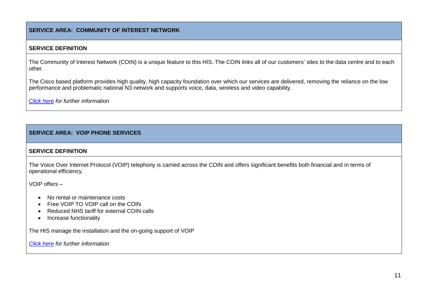#### **SERVICE AREA: COMMUNITY OF INTEREST NETWORK**

#### **SERVICE DEFINITION**

The Community of Interest Network (COIN) is a unique feature to this HIS. The COIN links all of our customers' sites to the data centre and to each other.

The Cisco based platform provides high quality, high capacity foundation over which our services are delivered, removing the reliance on the low performance and problematic national N3 network and supports voice, data, wireless and video capability.

*[Click here](http://www.his.sthk.nhs.uk/Pages/Service-Integration-and-Management.aspx) for further information*

#### **SERVICE AREA: VOIP PHONE SERVICES**

#### **SERVICE DEFINITION**

The Voice Over Internet Protocol (VOIP) telephony is carried across the COIN and offers significant benefits both financial and in terms of operational efficiency.

VOIP offers –

- No rental or maintenance costs
- Free VOIP TO VOIP call on the COIN
- Reduced NHS tariff for external COIN calls
- Increase functionality

The HIS manage the installation and the on-going support of VOIP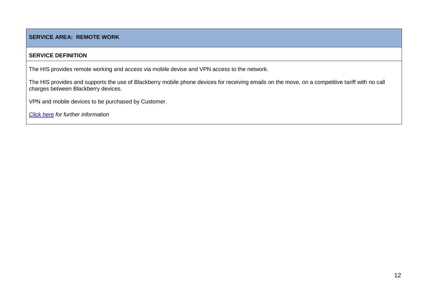#### **SERVICE AREA: REMOTE WORK**

#### **SERVICE DEFINITION**

The HIS provides remote working and access via mobile devise and VPN access to the network.

The HIS provides and supports the use of Blackberry mobile phone devices for receiving emails on the move, on a competitive tariff with no call charges between Blackberry devices.

VPN and mobile devices to be purchased by Customer.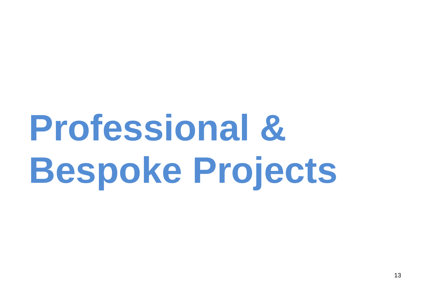# **Professional & Bespoke Projects**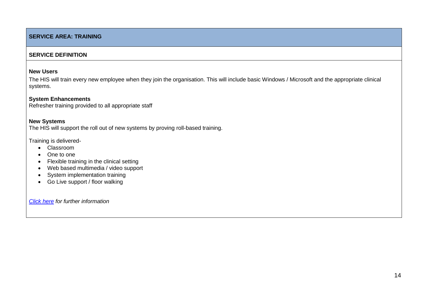#### **SERVICE AREA: TRAINING**

#### **SERVICE DEFINITION**

#### **New Users**

The HIS will train every new employee when they join the organisation. This will include basic Windows / Microsoft and the appropriate clinical systems.

#### **System Enhancements**

Refresher training provided to all appropriate staff

#### **New Systems**

The HIS will support the roll out of new systems by proving roll-based training.

Training is delivered-

- Classroom
- One to one
- Flexible training in the clinical setting
- Web based multimedia / video support
- System implementation training
- Go Live support / floor walking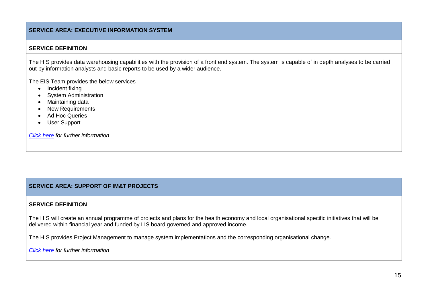#### **SERVICE AREA: EXECUTIVE INFORMATION SYSTEM**

#### **SERVICE DEFINITION**

The HIS provides data warehousing capabilities with the provision of a front end system. The system is capable of in depth analyses to be carried out by information analysts and basic reports to be used by a wider audience.

The EIS Team provides the below services-

- Incident fixing
- System Administration
- Maintaining data
- New Requirements
- Ad Hoc Queries
- User Support

*[Click here](http://www.his.sthk.nhs.uk/Pages/Professional-and-Bespoke-Projects.aspx#Change%20and%20Project%20Management) for further information*

#### **SERVICE AREA: SUPPORT OF IM&T PROJECTS**

#### **SERVICE DEFINITION**

The HIS will create an annual programme of projects and plans for the health economy and local organisational specific initiatives that will be delivered within financial year and funded by LIS board governed and approved income.

The HIS provides Project Management to manage system implementations and the corresponding organisational change.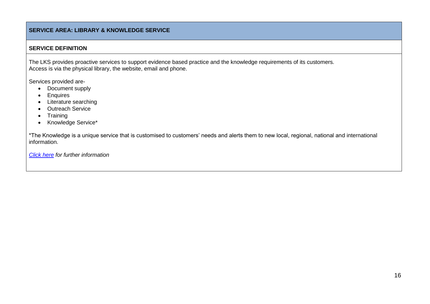#### **SERVICE AREA: LIBRARY & KNOWLEDGE SERVICE**

#### **SERVICE DEFINITION**

The LKS provides proactive services to support evidence based practice and the knowledge requirements of its customers. Access is via the physical library, the website, email and phone.

Services provided are-

- Document supply
- Enquires
- Literature searching
- Outreach Service
- Training
- Knowledge Service\*

\*The Knowledge is a unique service that is customised to customers' needs and alerts them to new local, regional, national and international information.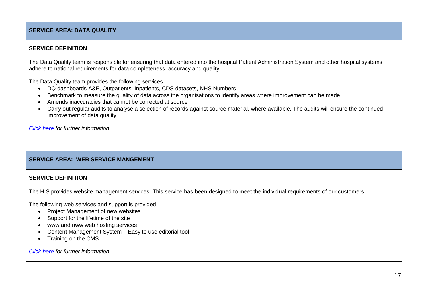#### **SERVICE AREA: DATA QUALITY**

#### **SERVICE DEFINITION**

The Data Quality team is responsible for ensuring that data entered into the hospital Patient Administration System and other hospital systems adhere to national requirements for data completeness, accuracy and quality.

The Data Quality team provides the following services-

- DQ dashboards A&E, Outpatients, Inpatients, CDS datasets, NHS Numbers
- Benchmark to measure the quality of data across the organisations to identify areas where improvement can be made
- Amends inaccuracies that cannot be corrected at source
- Carry out regular audits to analyse a selection of records against source material, where available. The audits will ensure the continued improvement of data quality.

*[Click here](http://www.his.sthk.nhs.uk/Pages/Professional-and-Bespoke-Projects.aspx) for further information* 

#### **SERVICE AREA: WEB SERVICE MANGEMENT**

#### **SERVICE DEFINITION**

The HIS provides website management services. This service has been designed to meet the individual requirements of our customers.

The following web services and support is provided-

- Project Management of new websites
- Support for the lifetime of the site
- www and nww web hosting services
- Content Management System Easy to use editorial tool
- Training on the CMS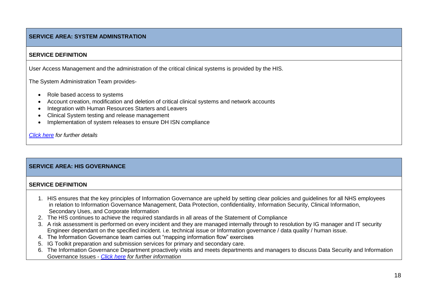#### **SERVICE AREA: SYSTEM ADMINSTRATION**

#### **SERVICE DEFINITION**

User Access Management and the administration of the critical clinical systems is provided by the HIS.

The System Administration Team provides-

- Role based access to systems
- Account creation, modification and deletion of critical clinical systems and network accounts
- Integration with Human Resources Starters and Leavers
- Clinical System testing and release management
- Implementation of system releases to ensure DH ISN compliance

*[Click here](http://www.his.sthk.nhs.uk/Pages/Professional-and-Bespoke-Projects.aspx) for further details*

#### **SERVICE AREA: HIS GOVERNANCE**

#### **SERVICE DEFINITION**

- 1. HIS ensures that the key principles of Information Governance are upheld by setting clear policies and guidelines for all NHS employees in relation to Information Governance Management, Data Protection, confidentiality, Information Security, Clinical Information, Secondary Uses, and Corporate Information
- 2. The HIS continues to achieve the required standards in all areas of the Statement of Compliance
- 3. A risk assessment is performed on every incident and they are managed internally through to resolution by IG manager and IT security Engineer dependant on the specified incident. i.e. technical issue or Information governance / data quality / human issue.
- 4. The Information Governance team carries out "mapping information flow" exercises
- 5. IG Toolkit preparation and submission services for primary and secondary care.
- 6. The Information Governance Department proactively visits and meets departments and managers to discuss Data Security and Information Governance Issues - *[Click here](http://www.his.sthk.nhs.uk/Pages/Professional-and-Bespoke-Projects.aspx) for further information*